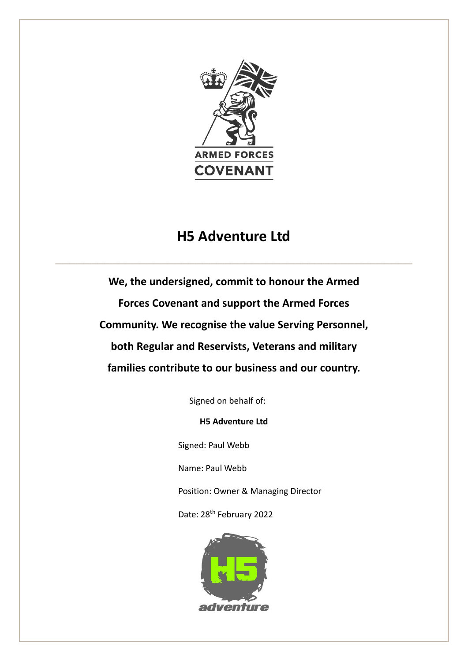

## **H5 Adventure Ltd**

 $\_$  , and the contribution of the contribution of  $\mathcal{L}_\mathcal{A}$  , and the contribution of  $\mathcal{L}_\mathcal{A}$  , and the contribution of  $\mathcal{L}_\mathcal{A}$ 

**We, the undersigned, commit to honour the Armed Forces Covenant and support the Armed Forces Community. We recognise the value Serving Personnel, both Regular and Reservists, Veterans and military families contribute to our business and our country.** 

Signed on behalf of:

**H5 Adventure Ltd**

Signed: Paul Webb

Name: Paul Webb

Position: Owner & Managing Director

Date: 28th February 2022

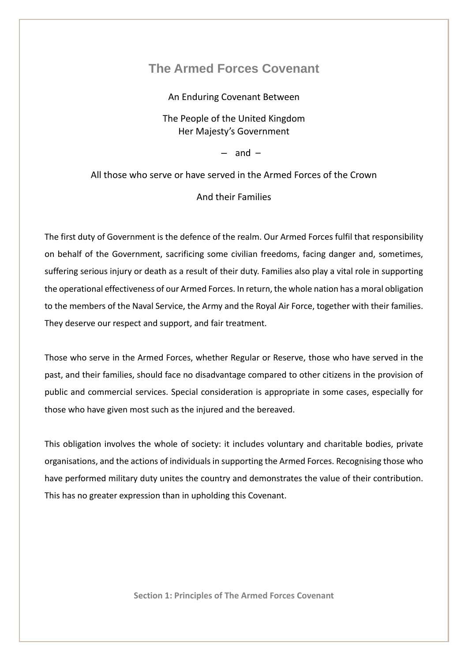## **The Armed Forces Covenant**

An Enduring Covenant Between

The People of the United Kingdom Her Majesty's Government

– and –

All those who serve or have served in the Armed Forces of the Crown

## And their Families

The first duty of Government is the defence of the realm. Our Armed Forces fulfil that responsibility on behalf of the Government, sacrificing some civilian freedoms, facing danger and, sometimes, suffering serious injury or death as a result of their duty. Families also play a vital role in supporting the operational effectiveness of our Armed Forces. In return, the whole nation has a moral obligation to the members of the Naval Service, the Army and the Royal Air Force, together with their families. They deserve our respect and support, and fair treatment.

Those who serve in the Armed Forces, whether Regular or Reserve, those who have served in the past, and their families, should face no disadvantage compared to other citizens in the provision of public and commercial services. Special consideration is appropriate in some cases, especially for those who have given most such as the injured and the bereaved.

This obligation involves the whole of society: it includes voluntary and charitable bodies, private organisations, and the actions of individuals in supporting the Armed Forces. Recognising those who have performed military duty unites the country and demonstrates the value of their contribution. This has no greater expression than in upholding this Covenant.

**Section 1: Principles of The Armed Forces Covenant**